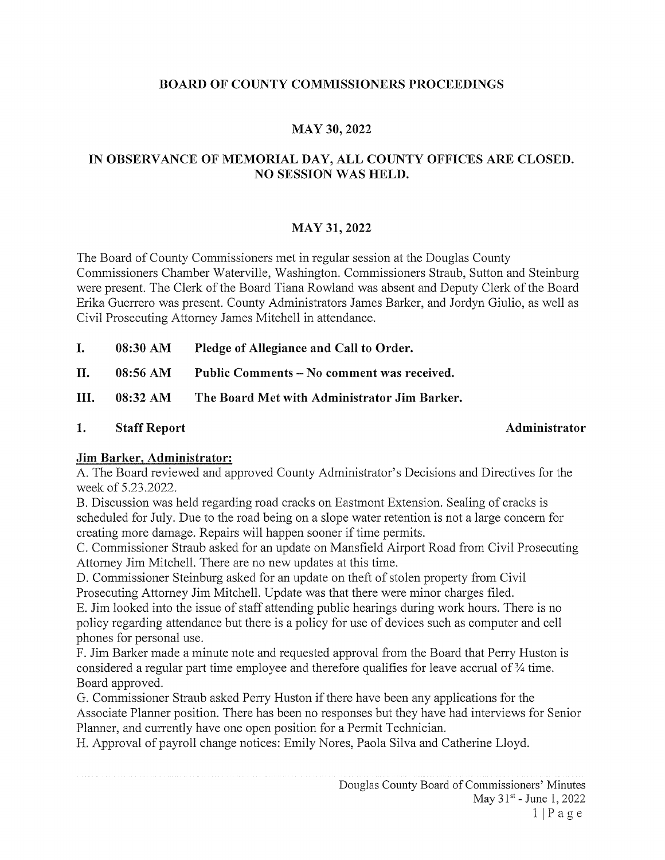## BOARD OF COUNTY COMMISSIONERS PROCEEDINGS

# MAY 30, 2022

# IN OBSERVANCE OF MEMORIAL DAY, ALL COUNTY OFFICES ARE CLOSED. NO SESSION WAS HELD.

### MAY 31, 2022

The Board of County Commissioners met in regular session at the Douglas County Commissioners Chamber Waterville, Washington. Commissioners Straub, Sutton and Steinburg were present. The Clerk of the Board Tiana Rowland was absent and Deputy Clerk of the Board Erika Guerrero was present. County Administrators James Barker, and Jordyn Giulio, as well as Civil Prosecuting Attorney James Mitchell in attendance.

I. 08:30 AM Pledge of Allegiance and Call to Order.

II. 08:56 AM Public Comments — No comment was received.

III. 08:32 AM The Board Met with Administrator Jim Barker.

1. Staff Report **Administrator** Administrator

### Jim Barker, Administrator:

A. The Board reviewed and approved County Administrator's Decisions and Directives for the week of 5.23.2022.

B. Discussion was held regarding road cracks on Eastmont Extension. Sealing of cracks is scheduled for July. Due to the road being on a slope water retention is not a large concern for creating more damage. Repairs will happen sooner if time permits.

C. Commissioner Straub asked for an update on Mansfield Airport Road from Civil Prosecuting Attorney Jim Mitchell. There are no new updates at this time.

D. Commissioner Steinburg asked for an update on theft of stolen property from Civil Prosecuting Attorney Jim Mitchell. Update was that there were minor charges filed.

E. Jim looked into the issue of staff attending public hearings during work hours. There is no policy regarding attendance but there is <sup>a</sup> policy for use of devices such as computer and cell phones for personal use.

F. Jim Barker made a minute note and requested approval from the Board that Perry Huston is considered a regular part time employee and therefore qualifies for leave accrual of  $\frac{3}{4}$  time. Board approved.

G. Commissioner Straub asked Perry Huston if there have been any applications for the Associate Planner position. There has been no responses but they have had interviews for Senior Planner, and currently have one open position for a Permit Technician.

H. Approval of payroll change notices: Emily Nores, Paola Silva and Catherine Lloyd.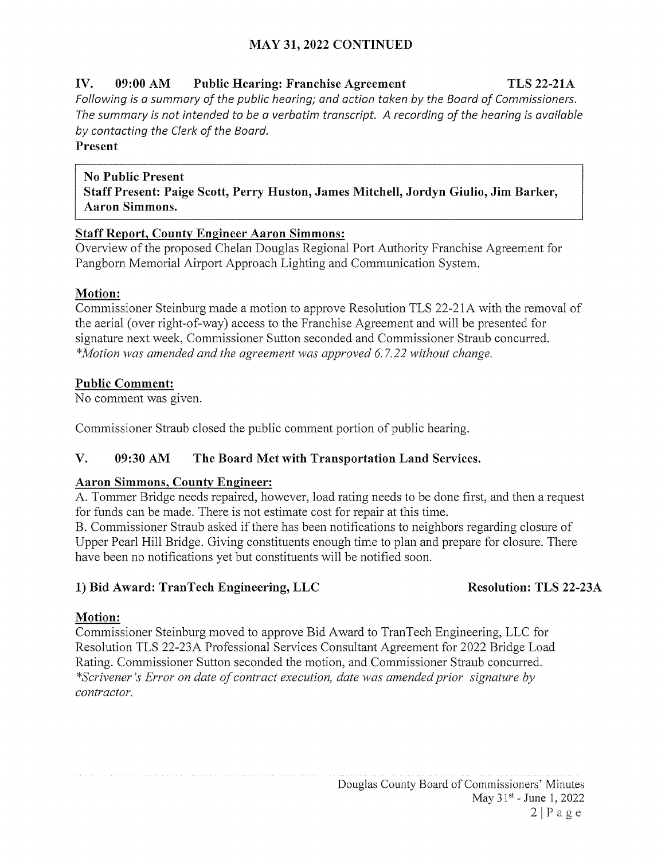# MAY 31, 2022 CONTINUED

# IV. 09:00 AM Public Hearing: Franchise Agreement TLS 22~21A Following is a summary of the public hearing; and action taken by the Board of Commissioners. The summary is not intended to be a verbatim transcript. A recording of the hearing is available by contacting the Clerk of the Board.

### Present

No Public Present Staff Present: Paige Scott, Perry Huston, James Mitchell, Jordyn Giulio, Jim Barker, Aaron Simmons.

## Staff Report, County Engineer Aaron Simmons:

Overview of the proposed Chelan Douglas Regional Port Authority Franchise Agreement for Pangborn Memorial Airport Approach Lighting and Communication System.

## Motion:

Commissioner Steinburg made a motion to approve Resolution TLS 22-21A with the removal of the aerial (over right-of-way) access to the Franchise Agreement and will be presented for signature next week, Commissioner Sutton seconded and Commissioner Straub concurred. \*Motion was amended and the agreement was approved 6. 7.22 without change.

# Public Comment:

No comment was given.

Commissioner Straub closed the public comment portion of public hearing.

# V. 09:30 AM The Board Met with Transportation Land Services.

## Aaron Simmons, County Engineer:

A. Tommer Bridge needs repaired, however, load rating needs to be done first, and then a request for funds can be made. There is not estimate cost for repair at this time.

B. Commissioner Straub asked if there has been notifications to neighbors regarding closure of Upper Pearl Hill Bridge. Giving constituents enough time to plan and prepare for closure. There have been no notifications yet but constituents will be notified soon.

# 1) Bid Award: TranTech Engineering, LLC Resolution: TLS 22-23A

# Motion:

Commissioner Steinburg moved to approve Bid Award to TranTech Engineering, LLC for Resolution TLS 22-23A Professional Services Consultant Agreement for 2022 Bridge Load Rating. Commissioner Sutton seconded the motion, and Commissioner Straub concurred. \*Scrivener's Error on date of contract execution, date was amended prior signature by contractor.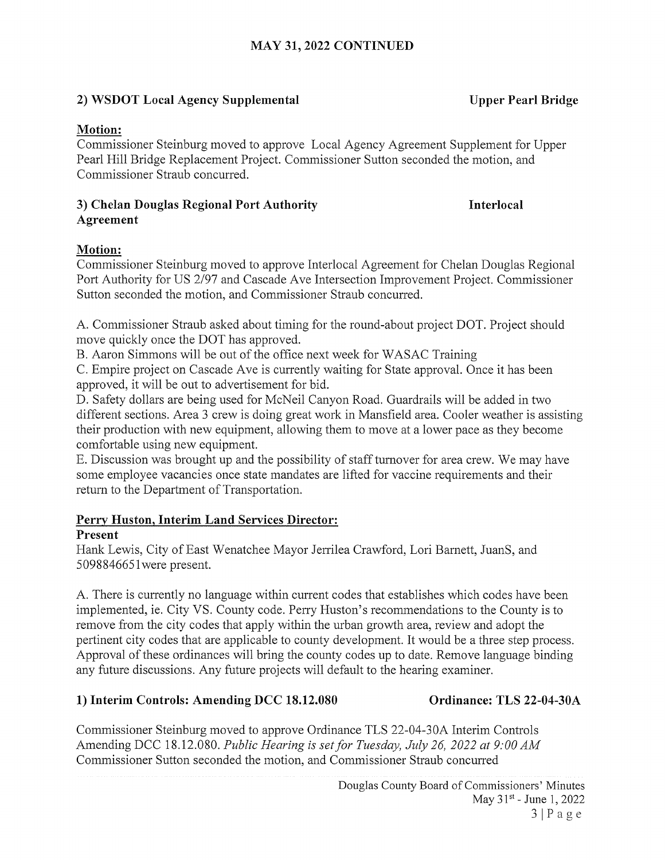# 2) WSDOT Local Agency Supplemental Upper Pearl Bridge

### Motion:

Commissioner Steinburg moved to approve Local Agency Agreement Supplement for Upper Pearl Hill Bridge Replacement Project. Commissioner Sutton seconded the motion, and Commissioner Straub concurred.

### 3) Chelan Douglas Regional Port Authority **Interlocal** Agreement

# Motion:

Commissioner Steinburg moved to approve Interlocal Agreement for Chelan Douglas Regional Port Authority for US 2/97 and Cascade Ave Intersection Improvement Project. Commissioner Sutton seconded the motion, and Commissioner Straub concurred.

A. Commissioner Straub asked about timing for the round-about project DOT. Project should move quickly once the DOT has approved.

B. Aaron Simmons will be out of the office next week for WASAC Training

C. Empire project on Cascade Ave is currently waiting for State approval. Once it has been approved, it will be out to advertisement for bid.

D. Safety dollars are being used for McNeil Canyon Road. Guardrails will be added in two different sections. Area <sup>3</sup> crew is doing great work in Mansfield area. Cooler weather is assisting their production with new equipment, allowing them to move at a lower pace as they become comfortable using new equipment.

E. Discussion was brought up and the possibility of staff turnover for area crew. We may have some employee vacancies once state mandates are lifted for vaccine requirements and their return to the Department of Transportation.

## Perry Huston, Interim Land Services Director:

## Present

Hank Lewis, City of East Wenatchee Mayor Jerrilea Crawford, Lori Barnett, JuanS, and 509884665 iwere present.

A. There is currently no language within current codes that establishes which codes have been implemented, ie. City VS. County code. Perry Huston's recommendations to the County is to remove from the city codes that apply within the urban growth area, review and adopt the pertinent city codes that are applicable to county development. It would be a three step process. Approval of these ordinances will bring the county codes up to date. Remove language binding any future discussions. Any future projects will default to the hearing examiner.

# 1) Interim Controls: Amending DCC 18.12.080 Ordinance: TLS 22-04-30A

Commissioner Steinburg moved to approve Ordinance TLS 22-04-30A Interim Controls Amending DCC 18.12.080. Public Hearing is set for Tuesday, July 26, 2022 at 9:00 AM Commissioner Sutton seconded the motion, and Commissioner Straub concurred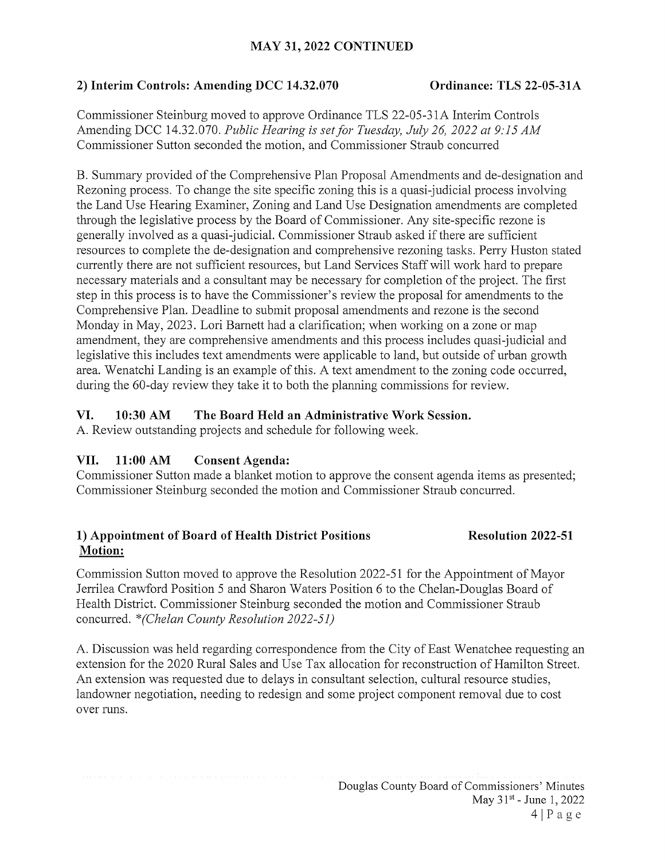## MAY 31, 2022 CONTINUED

### 2) Interim Controls: Amending DCC 14.32.070 Ordinance: TLS 22-05-31A

Commissioner Steinburg moved to approve Ordinance TLS 22-05-31A Interim Controls Amending DCC 14.32.070. Public Hearing is set for Tuesday, July 26, 2022 at 9:15 AM Commissioner Sutton seconded the motion, and Commissioner Straub concurred

B. Summary provided of the Comprehensive Plan Proposal Amendments and de-designation and Rezoning process. To change the site specific zoning this is a quasi-judicial process involving the Land Use Hearing Examiner, Zoning and Land Use Designation amendments are completed through the legislative process by the Board of Commissioner. Any site-specific rezone is generally involved as <sup>a</sup> quasi-judicial. Commissioner Straub asked ifthere are sufficient resources to complete the de-designation and comprehensive rezoning tasks. Perry Huston stated currently there are not sufficient resources, but Land Services Staff will work hard to prepare necessary materials and <sup>a</sup> consultant may be necessary for completion of the project. The first step in this process is to have the Commissioner's review the proposal for amendments to the Comprehensive Plan. Deadline to submit proposal amendments and rezone is the second Monday in May, 2023. Lori Barnett had a clarification; when working on a zone or map amendment, they are comprehensive amendments and this process includes quasi-judicial and legislative this includes text amendments were applicable to land, but outside of urban growth area. Wenatchi Landing is an example of this. A text amendment to the zoning code occurred, during the 60-day review they take it to both the planning commissions for review.

### VI. 10:30 AM The Board Held an Administrative Work Session.

A. Review outstanding projects and schedule for following week.

## VII. 11:00 AM Consent Agenda:

Commissioner Sutton made a blanket motion to approve the consent agenda items as presented; Commissioner Steinburg seconded the motion and Commissioner Straub concurred.

## 1) Appointment of Board of Health District Positions Resolution 2022-51 Motion:

Commission Sutton moved to approve the Resolution 2022-51 for the Appointment of Mayor Jerrilea Crawford Position <sup>5</sup> and Sharon Waters Position <sup>6</sup> to the Chelan-Douglas Board of Health District. Commissioner Steinburg seconded the motion and Commissioner Straub concurred. \*(Chelan County Resolution 2022-51)

A. Discussion was held regarding correspondence from the City of East Wenatchee requesting an extension for the 2020 Rural Sales and Use Tax allocation for reconstruction of Hamilton Street. An extension was requested due to delays in consultant selection, cultural resource studies, landowner negotiation, needing to redesign and some project component removal due to cost over runs.